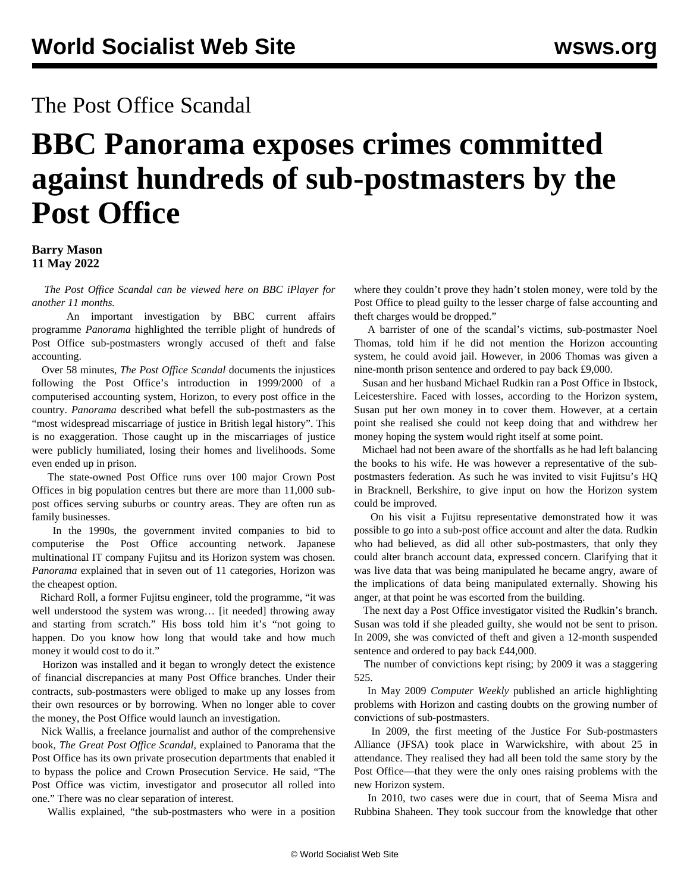## The Post Office Scandal

## **BBC Panorama exposes crimes committed against hundreds of sub-postmasters by the Post Office**

**Barry Mason 11 May 2022**

 *The Post Office Scandal can be [viewed here](https://www.bbc.co.uk/programmes/m0016t20) on BBC iPlayer for another 11 months.*

 An important investigation by BBC current affairs programme *Panorama* highlighted the terrible plight of hundreds of Post Office sub-postmasters wrongly accused of theft and false accounting.

 Over 58 minutes, *The Post Office Scandal* documents the injustices following the Post Office's introduction in 1999/2000 of a computerised accounting system, Horizon, to every post office in the country. *Panorama* described what befell the sub-postmasters as the "most widespread miscarriage of justice in British legal history". This is no exaggeration. Those caught up in the miscarriages of justice were publicly humiliated, losing their homes and livelihoods. Some even ended up in prison.

 The state-owned Post Office runs over 100 major Crown Post Offices in big population centres but there are more than 11,000 subpost offices serving suburbs or country areas. They are often run as family businesses.

 In the 1990s, the government invited companies to bid to computerise the Post Office accounting network. Japanese multinational IT company Fujitsu and its Horizon system was chosen. *Panorama* explained that in seven out of 11 categories, Horizon was the cheapest option.

 Richard Roll, a former Fujitsu engineer, told the programme, "it was well understood the system was wrong… [it needed] throwing away and starting from scratch." His boss told him it's "not going to happen. Do you know how long that would take and how much money it would cost to do it."

 Horizon was installed and it began to wrongly detect the existence of financial discrepancies at many Post Office branches. Under their contracts, sub-postmasters were obliged to make up any losses from their own resources or by borrowing. When no longer able to cover the money, the Post Office would launch an investigation.

 Nick Wallis, a freelance journalist and author of the comprehensive book, *The Great Post Office Scandal*, explained to Panorama that the Post Office has its own private prosecution departments that enabled it to bypass the police and Crown Prosecution Service. He said, "The Post Office was victim, investigator and prosecutor all rolled into one." There was no clear separation of interest.

Wallis explained, "the sub-postmasters who were in a position

where they couldn't prove they hadn't stolen money, were told by the Post Office to plead guilty to the lesser charge of false accounting and theft charges would be dropped."

 A barrister of one of the scandal's victims, sub-postmaster Noel Thomas, told him if he did not mention the Horizon accounting system, he could avoid jail. However, in 2006 Thomas was given a nine-month prison sentence and ordered to pay back £9,000.

 Susan and her husband Michael Rudkin ran a Post Office in Ibstock, Leicestershire. Faced with losses, according to the Horizon system, Susan put her own money in to cover them. However, at a certain point she realised she could not keep doing that and withdrew her money hoping the system would right itself at some point.

 Michael had not been aware of the shortfalls as he had left balancing the books to his wife. He was however a representative of the subpostmasters federation. As such he was invited to visit Fujitsu's HQ in Bracknell, Berkshire, to give input on how the Horizon system could be improved.

 On his visit a Fujitsu representative demonstrated how it was possible to go into a sub-post office account and alter the data. Rudkin who had believed, as did all other sub-postmasters, that only they could alter branch account data, expressed concern. Clarifying that it was live data that was being manipulated he became angry, aware of the implications of data being manipulated externally. Showing his anger, at that point he was escorted from the building.

 The next day a Post Office investigator visited the Rudkin's branch. Susan was told if she pleaded guilty, she would not be sent to prison. In 2009, she was convicted of theft and given a 12-month suspended sentence and ordered to pay back £44,000.

 The number of convictions kept rising; by 2009 it was a staggering 525.

 In May 2009 *Computer Weekly* published an article highlighting problems with Horizon and casting doubts on the growing number of convictions of sub-postmasters.

 In 2009, the first meeting of the Justice For Sub-postmasters Alliance (JFSA) took place in Warwickshire, with about 25 in attendance. They realised they had all been told the same story by the Post Office—that they were the only ones raising problems with the new Horizon system.

 In 2010, two cases were due in court, that of Seema Misra and Rubbina Shaheen. They took succour from the knowledge that other